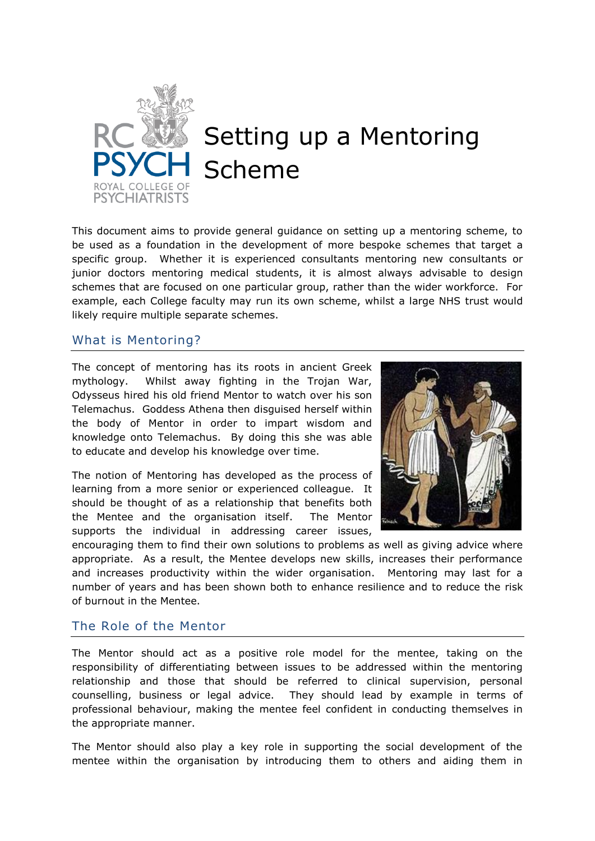

# Setting up a Mentoring Scheme

This document aims to provide general guidance on setting up a mentoring scheme, to be used as a foundation in the development of more bespoke schemes that target a specific group. Whether it is experienced consultants mentoring new consultants or junior doctors mentoring medical students, it is almost always advisable to design schemes that are focused on one particular group, rather than the wider workforce. For example, each College faculty may run its own scheme, whilst a large NHS trust would likely require multiple separate schemes.

#### What is Mentoring?

The concept of mentoring has its roots in ancient Greek mythology. Whilst away fighting in the Trojan War, Odysseus hired his old friend Mentor to watch over his son Telemachus. Goddess Athena then disguised herself within the body of Mentor in order to impart wisdom and knowledge onto Telemachus. By doing this she was able to educate and develop his knowledge over time.

The notion of Mentoring has developed as the process of learning from a more senior or experienced colleague. It should be thought of as a relationship that benefits both the Mentee and the organisation itself. The Mentor supports the individual in addressing career issues,



encouraging them to find their own solutions to problems as well as giving advice where appropriate. As a result, the Mentee develops new skills, increases their performance and increases productivity within the wider organisation. Mentoring may last for a number of years and has been shown both to enhance resilience and to reduce the risk of burnout in the Mentee.

### The Role of the Mentor

The Mentor should act as a positive role model for the mentee, taking on the responsibility of differentiating between issues to be addressed within the mentoring relationship and those that should be referred to clinical supervision, personal counselling, business or legal advice. They should lead by example in terms of professional behaviour, making the mentee feel confident in conducting themselves in the appropriate manner.

The Mentor should also play a key role in supporting the social development of the mentee within the organisation by introducing them to others and aiding them in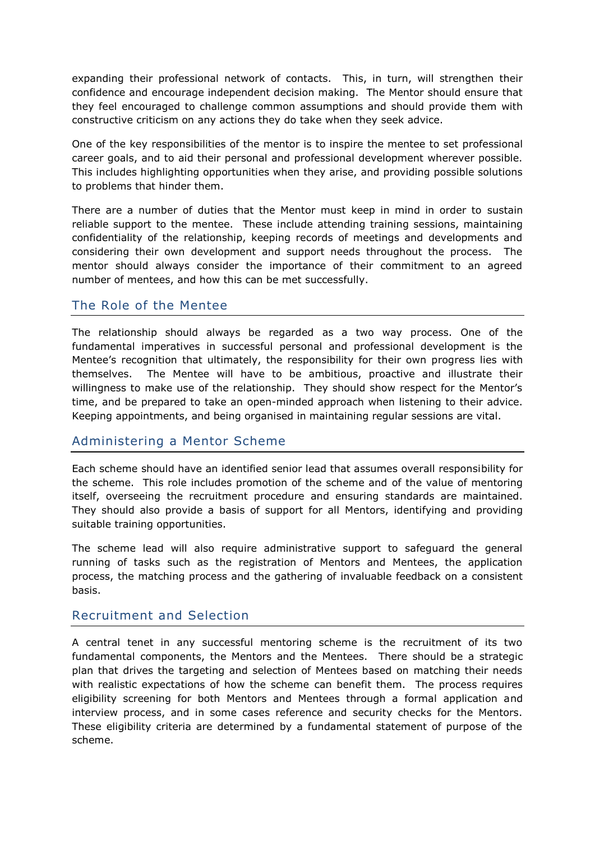expanding their professional network of contacts. This, in turn, will strengthen their confidence and encourage independent decision making. The Mentor should ensure that they feel encouraged to challenge common assumptions and should provide them with constructive criticism on any actions they do take when they seek advice.

One of the key responsibilities of the mentor is to inspire the mentee to set professional career goals, and to aid their personal and professional development wherever possible. This includes highlighting opportunities when they arise, and providing possible solutions to problems that hinder them.

There are a number of duties that the Mentor must keep in mind in order to sustain reliable support to the mentee. These include attending training sessions, maintaining confidentiality of the relationship, keeping records of meetings and developments and considering their own development and support needs throughout the process. The mentor should always consider the importance of their commitment to an agreed number of mentees, and how this can be met successfully.

## The Role of the Mentee

The relationship should always be regarded as a two way process. One of the fundamental imperatives in successful personal and professional development is the Mentee's recognition that ultimately, the responsibility for their own progress lies with themselves. The Mentee will have to be ambitious, proactive and illustrate their willingness to make use of the relationship. They should show respect for the Mentor's time, and be prepared to take an open-minded approach when listening to their advice. Keeping appointments, and being organised in maintaining regular sessions are vital.

## Administering a Mentor Scheme

Each scheme should have an identified senior lead that assumes overall responsibility for the scheme. This role includes promotion of the scheme and of the value of mentoring itself, overseeing the recruitment procedure and ensuring standards are maintained. They should also provide a basis of support for all Mentors, identifying and providing suitable training opportunities.

The scheme lead will also require administrative support to safeguard the general running of tasks such as the registration of Mentors and Mentees, the application process, the matching process and the gathering of invaluable feedback on a consistent basis.

### Recruitment and Selection

A central tenet in any successful mentoring scheme is the recruitment of its two fundamental components, the Mentors and the Mentees. There should be a strategic plan that drives the targeting and selection of Mentees based on matching their needs with realistic expectations of how the scheme can benefit them. The process requires eligibility screening for both Mentors and Mentees through a formal application and interview process, and in some cases reference and security checks for the Mentors. These eligibility criteria are determined by a fundamental statement of purpose of the scheme.